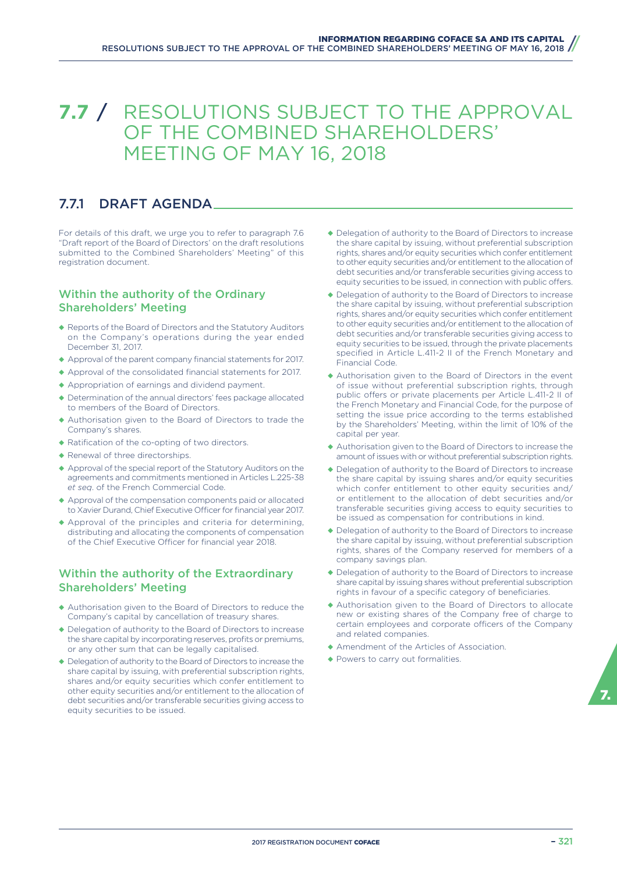# **7.7** / RESOLUTIONS SUBJECT TO THE APPROVAL OF THE COMBINED SHAREHOLDERS' MEETING OF MAY 16, 2018

# 7.7.1 DRAFT AGENDA

For details of this draft, we urge you to refer to paragraph 7.6 "Draft report of the Board of Directors' on the draft resolutions submitted to the Combined Shareholders' Meeting" of this registration document.

# Within the authority of the Ordinary Shareholders' Meeting

- ◆ Reports of the Board of Directors and the Statutory Auditors on the Company's operations during the year ended December 31, 2017.
- ◆ Approval of the parent company financial statements for 2017.
- ◆ Approval of the consolidated financial statements for 2017.
- ◆ Appropriation of earnings and dividend payment.
- ◆ Determination of the annual directors' fees package allocated to members of the Board of Directors.
- ◆ Authorisation given to the Board of Directors to trade the Company's shares.
- ◆ Ratification of the co-opting of two directors.
- ◆ Renewal of three directorships.
- ◆ Approval of the special report of the Statutory Auditors on the agreements and commitments mentioned in Articles L.225-38 *et seq*. of the French Commercial Code.
- ◆ Approval of the compensation components paid or allocated to Xavier Durand, Chief Executive Officer for financial year 2017.
- ◆ Approval of the principles and criteria for determining, distributing and allocating the components of compensation of the Chief Executive Officer for financial year 2018.

## Within the authority of the Extraordinary Shareholders' Meeting

- ◆ Authorisation given to the Board of Directors to reduce the Company's capital by cancellation of treasury shares.
- ◆ Delegation of authority to the Board of Directors to increase the share capital by incorporating reserves, profits or premiums, or any other sum that can be legally capitalised.
- ◆ Delegation of authority to the Board of Directors to increase the share capital by issuing, with preferential subscription rights, shares and/or equity securities which confer entitlement to other equity securities and/or entitlement to the allocation of debt securities and/or transferable securities giving access to equity securities to be issued.
- ◆ Delegation of authority to the Board of Directors to increase the share capital by issuing, without preferential subscription rights, shares and/or equity securities which confer entitlement to other equity securities and/or entitlement to the allocation of debt securities and/or transferable securities giving access to equity securities to be issued, in connection with public offers.
- ◆ Delegation of authority to the Board of Directors to increase the share capital by issuing, without preferential subscription rights, shares and/or equity securities which confer entitlement to other equity securities and/or entitlement to the allocation of debt securities and/or transferable securities giving access to equity securities to be issued, through the private placements specified in Article L.411-2 II of the French Monetary and Financial Code.
- ◆ Authorisation given to the Board of Directors in the event of issue without preferential subscription rights, through public offers or private placements per Article L.411-2 II of the French Monetary and Financial Code, for the purpose of setting the issue price according to the terms established by the Shareholders' Meeting, within the limit of 10% of the capital per year.
- ◆ Authorisation given to the Board of Directors to increase the amount of issues with or without preferential subscription rights.
- ◆ Delegation of authority to the Board of Directors to increase the share capital by issuing shares and/or equity securities which confer entitlement to other equity securities and/ or entitlement to the allocation of debt securities and/or transferable securities giving access to equity securities to be issued as compensation for contributions in kind.
- ◆ Delegation of authority to the Board of Directors to increase the share capital by issuing, without preferential subscription rights, shares of the Company reserved for members of a company savings plan.
- ◆ Delegation of authority to the Board of Directors to increase share capital by issuing shares without preferential subscription rights in favour of a specific category of beneficiaries.
- ◆ Authorisation given to the Board of Directors to allocate new or existing shares of the Company free of charge to certain employees and corporate officers of the Company and related companies.
- ◆ Amendment of the Articles of Association.
- ◆ Powers to carry out formalities.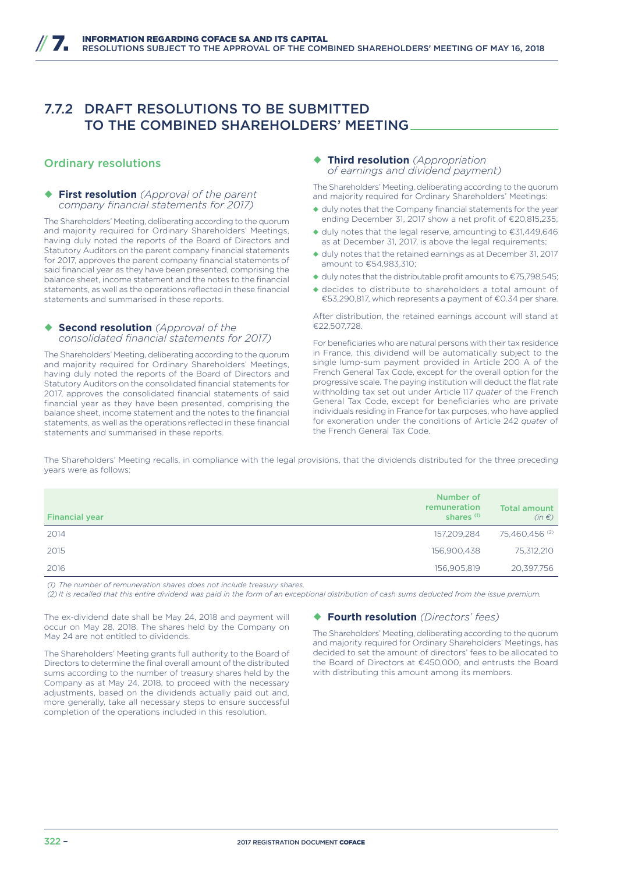# 7.7.2 DRAFT RESOLUTIONS TO BE SUBMITTED TO THE COMBINED SHAREHOLDERS' MEETING

### Ordinary resolutions

#### ◆ First resolution *(Approval of the parent company financial statements for 2017)*

The Shareholders' Meeting, deliberating according to the quorum and majority required for Ordinary Shareholders' Meetings, having duly noted the reports of the Board of Directors and Statutory Auditors on the parent company financial statements for 2017, approves the parent company financial statements of said financial year as they have been presented, comprising the balance sheet, income statement and the notes to the financial statements, as well as the operations reflected in these financial statements and summarised in these reports.

#### ◆ **Second resolution** *(Approval of the consolidated financial statements for 2017)*

The Shareholders' Meeting, deliberating according to the quorum and majority required for Ordinary Shareholders' Meetings, having duly noted the reports of the Board of Directors and Statutory Auditors on the consolidated financial statements for 2017, approves the consolidated financial statements of said financial year as they have been presented, comprising the balance sheet, income statement and the notes to the financial statements, as well as the operations reflected in these financial statements and summarised in these reports.

#### ¡ **Third resolution** *(Appropriation of earnings and dividend payment)*

The Shareholders' Meeting, deliberating according to the quorum and majority required for Ordinary Shareholders' Meetings:

- ◆ duly notes that the Company financial statements for the year ending December 31, 2017 show a net profit of €20,815,235;
- ◆ duly notes that the legal reserve, amounting to €31,449,646 as at December 31, 2017, is above the legal requirements;
- ◆ duly notes that the retained earnings as at December 31, 2017 amount to €54,983,310;
- ◆ duly notes that the distributable profit amounts to €75,798,545;
- ◆ decides to distribute to shareholders a total amount of €53,290,817, which represents a payment of €0.34 per share.

After distribution, the retained earnings account will stand at €22,507,728.

For beneficiaries who are natural persons with their tax residence in France, this dividend will be automatically subject to the single lump-sum payment provided in Article 200 A of the French General Tax Code, except for the overall option for the progressive scale. The paying institution will deduct the flat rate withholding tax set out under Article 117 *quater* of the French General Tax Code, except for beneficiaries who are private individuals residing in France for tax purposes, who have applied for exoneration under the conditions of Article 242 *quater* of the French General Tax Code.

The Shareholders' Meeting recalls, in compliance with the legal provisions, that the dividends distributed for the three preceding years were as follows:

| <b>Financial year</b> | Number of<br>remuneration<br>shares <sup>(1)</sup> | <b>Total amount</b><br>$(in \in)$ |
|-----------------------|----------------------------------------------------|-----------------------------------|
| 2014                  | 157,209,284                                        | 75,460,456 <sup>(2)</sup>         |
| 2015                  | 156,900,438                                        | 75,312,210                        |
| 2016                  | 156,905,819                                        | 20,397,756                        |

*(1) The number of remuneration shares does not include treasury shares.*

*(2) It is recalled that this entire dividend was paid in the form of an exceptional distribution of cash sums deducted from the issue premium.*

The ex-dividend date shall be May 24, 2018 and payment will occur on May 28, 2018. The shares held by the Company on May 24 are not entitled to dividends.

The Shareholders' Meeting grants full authority to the Board of Directors to determine the final overall amount of the distributed sums according to the number of treasury shares held by the Company as at May 24, 2018, to proceed with the necessary adjustments, based on the dividends actually paid out and, more generally, take all necessary steps to ensure successful completion of the operations included in this resolution.

#### ¡ **Fourth resolution** *(Directors' fees)*

The Shareholders' Meeting, deliberating according to the quorum and majority required for Ordinary Shareholders' Meetings, has decided to set the amount of directors' fees to be allocated to the Board of Directors at €450,000, and entrusts the Board with distributing this amount among its members.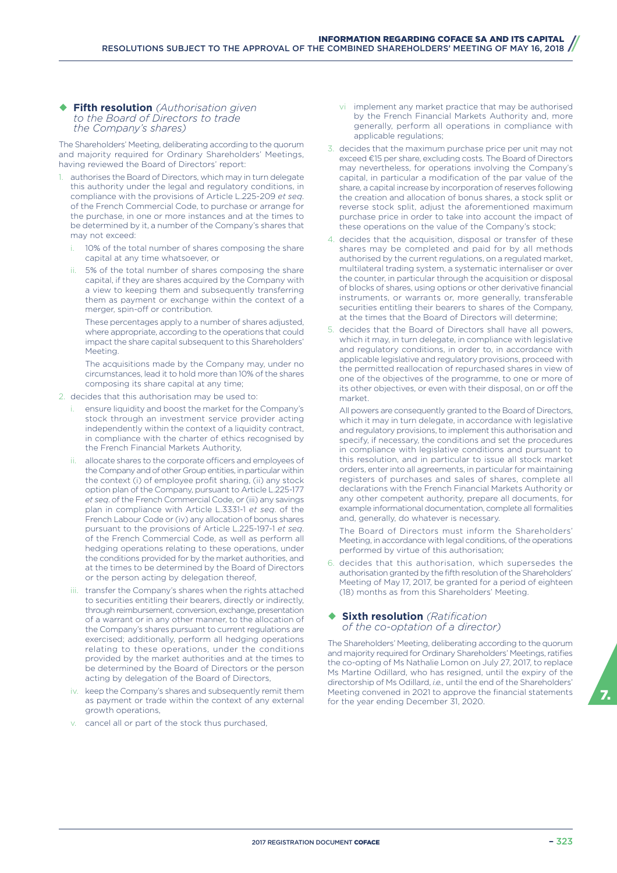#### ¡ **Fifth resolution** *(Authorisation given to the Board of Directors to trade the Company's shares)*

The Shareholders' Meeting, deliberating according to the quorum and majority required for Ordinary Shareholders' Meetings, having reviewed the Board of Directors' report:

- 1. authorises the Board of Directors, which may in turn delegate this authority under the legal and regulatory conditions, in compliance with the provisions of Article L.225-209 *et seq*. of the French Commercial Code, to purchase or arrange for the purchase, in one or more instances and at the times to be determined by it, a number of the Company's shares that may not exceed:
	- 10% of the total number of shares composing the share capital at any time whatsoever, or
	- 5% of the total number of shares composing the share capital, if they are shares acquired by the Company with a view to keeping them and subsequently transferring them as payment or exchange within the context of a merger, spin-off or contribution.

These percentages apply to a number of shares adjusted, where appropriate, according to the operations that could impact the share capital subsequent to this Shareholders' Meeting.

The acquisitions made by the Company may, under no circumstances, lead it to hold more than 10% of the shares composing its share capital at any time;

- 2. decides that this authorisation may be used to:
	- ensure liquidity and boost the market for the Company's stock through an investment service provider acting independently within the context of a liquidity contract, in compliance with the charter of ethics recognised by the French Financial Markets Authority,
	- ii. allocate shares to the corporate officers and employees of the Company and of other Group entities, in particular within the context (i) of employee profit sharing, (ii) any stock option plan of the Company, pursuant to Article L.225-177 *et seq*. of the French Commercial Code, or (iii) any savings plan in compliance with Article L.3331-1 *et seq*. of the French Labour Code or (iv) any allocation of bonus shares pursuant to the provisions of Article L.225-197-1 *et seq*. of the French Commercial Code, as well as perform all hedging operations relating to these operations, under the conditions provided for by the market authorities, and at the times to be determined by the Board of Directors or the person acting by delegation thereof,
	- iii. transfer the Company's shares when the rights attached to securities entitling their bearers, directly or indirectly, through reimbursement, conversion, exchange, presentation of a warrant or in any other manner, to the allocation of the Company's shares pursuant to current regulations are exercised; additionally, perform all hedging operations relating to these operations, under the conditions provided by the market authorities and at the times to be determined by the Board of Directors or the person acting by delegation of the Board of Directors,
	- iv. keep the Company's shares and subsequently remit them as payment or trade within the context of any external growth operations,
	- v. cancel all or part of the stock thus purchased,
- vi implement any market practice that may be authorised by the French Financial Markets Authority and, more generally, perform all operations in compliance with applicable regulations;
- 3. decides that the maximum purchase price per unit may not exceed €15 per share, excluding costs. The Board of Directors may nevertheless, for operations involving the Company's capital, in particular a modification of the par value of the share, a capital increase by incorporation of reserves following the creation and allocation of bonus shares, a stock split or reverse stock split, adjust the aforementioned maximum purchase price in order to take into account the impact of these operations on the value of the Company's stock;
- 4. decides that the acquisition, disposal or transfer of these shares may be completed and paid for by all methods authorised by the current regulations, on a regulated market, multilateral trading system, a systematic internaliser or over the counter, in particular through the acquisition or disposal of blocks of shares, using options or other derivative financial instruments, or warrants or, more generally, transferable securities entitling their bearers to shares of the Company, at the times that the Board of Directors will determine;
- 5. decides that the Board of Directors shall have all powers, which it may, in turn delegate, in compliance with legislative and regulatory conditions, in order to, in accordance with applicable legislative and regulatory provisions, proceed with the permitted reallocation of repurchased shares in view of one of the objectives of the programme, to one or more of its other objectives, or even with their disposal, on or off the market.

All powers are consequently granted to the Board of Directors, which it may in turn delegate, in accordance with legislative and regulatory provisions, to implement this authorisation and specify, if necessary, the conditions and set the procedures in compliance with legislative conditions and pursuant to this resolution, and in particular to issue all stock market orders, enter into all agreements, in particular for maintaining registers of purchases and sales of shares, complete all declarations with the French Financial Markets Authority or any other competent authority, prepare all documents, for example informational documentation, complete all formalities and, generally, do whatever is necessary.

The Board of Directors must inform the Shareholders' Meeting, in accordance with legal conditions, of the operations performed by virtue of this authorisation;

6. decides that this authorisation, which supersedes the authorisation granted by the fifth resolution of the Shareholders' Meeting of May 17, 2017, be granted for a period of eighteen (18) months as from this Shareholders' Meeting.

#### ¡ **Sixth resolution** *(Ratification of the co-optation of a director)*

The Shareholders' Meeting, deliberating according to the quorum and majority required for Ordinary Shareholders' Meetings, ratifies the co-opting of Ms Nathalie Lomon on July 27, 2017, to replace Ms Martine Odillard, who has resigned, until the expiry of the directorship of Ms Odillard, *i.e.,* until the end of the Shareholders' Meeting convened in 2021 to approve the financial statements **1948**<br>for the year ending December 31, 2020.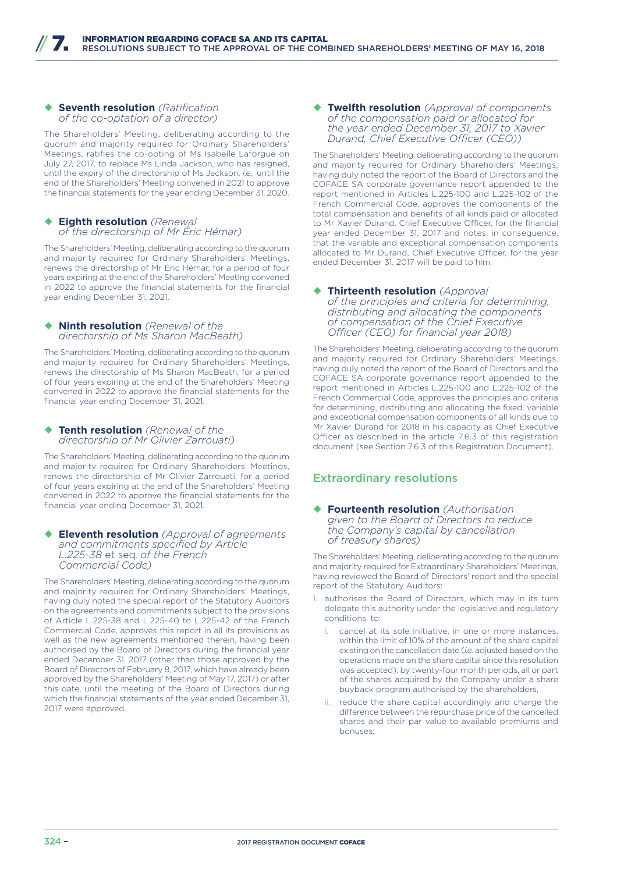#### ¡ **Seventh resolution** *(Ratification of the co-optation of a director)*

The Shareholders' Meeting, deliberating according to the quorum and majority required for Ordinary Shareholders' Meetings, ratifies the co-opting of Ms Isabelle Laforgue on July 27, 2017, to replace Ms Linda Jackson, who has resigned, until the expiry of the directorship of Ms Jackson, *i.e.,* until the end of the Shareholders' Meeting convened in 2021 to approve the financial statements for the year ending December 31, 2020.

#### ¡ **Eighth resolution** *(Renewal of the directorship of Mr Éric Hémar)*

The Shareholders' Meeting, deliberating according to the quorum and majority required for Ordinary Shareholders' Meetings, renews the directorship of Mr Éric Hémar, for a period of four years expiring at the end of the Shareholders' Meeting convened in 2022 to approve the financial statements for the financial year ending December 31, 2021.

#### **Ninth resolution** *(Renewal of the directorship of Ms Sharon MacBeath)*

The Shareholders' Meeting, deliberating according to the quorum and majority required for Ordinary Shareholders' Meetings, renews the directorship of Ms Sharon MacBeath, for a period of four years expiring at the end of the Shareholders' Meeting convened in 2022 to approve the financial statements for the financial year ending December 31, 2021.

#### **Tenth resolution** *(Renewal of the directorship of Mr Olivier Zarrouati)*

The Shareholders' Meeting, deliberating according to the quorum and majority required for Ordinary Shareholders' Meetings, renews the directorship of Mr Olivier Zarrouati, for a period of four years expiring at the end of the Shareholders' Meeting convened in 2022 to approve the financial statements for the financial year ending December 31, 2021.

#### **Eleventh resolution** *(Approval of agreements and commitments specified by Article L.225-38* et seq*. of the French Commercial Code)*

The Shareholders' Meeting, deliberating according to the quorum and majority required for Ordinary Shareholders' Meetings, having duly noted the special report of the Statutory Auditors on the agreements and commitments subject to the provisions of Article L.225-38 and L.225-40 to L.225-42 of the French Commercial Code, approves this report in all its provisions as well as the new agreements mentioned therein, having been authorised by the Board of Directors during the financial year ended December 31, 2017 (other than those approved by the Board of Directors of February 8, 2017, which have already been approved by the Shareholders' Meeting of May 17, 2017) or after this date, until the meeting of the Board of Directors during which the financial statements of the year ended December 31, 2017 were approved.

¡ **Twelfth resolution** *(Approval of components of the compensation paid or allocated for the year ended December 31, 2017 to Xavier Durand, Chief Executive Officer (CEO)* 

The Shareholders' Meeting, deliberating according to the quorum and majority required for Ordinary Shareholders' Meetings, having duly noted the report of the Board of Directors and the COFACE SA corporate governance report appended to the report mentioned in Articles L.225-100 and L.225-102 of the French Commercial Code, approves the components of the total compensation and benefits of all kinds paid or allocated to Mr Xavier Durand, Chief Executive Officer, for the financial year ended December 31, 2017 and notes, in consequence, that the variable and exceptional compensation components allocated to Mr Durand, Chief Executive Officer, for the year ended December 31, 2017 will be paid to him.

#### ¡ **Thirteenth resolution** *(Approval*

*of the principles and criteria for determining, distributing and allocating the components of compensation of the Chief Executive Officer (CEO) for financial year 2018)* 

The Shareholders' Meeting, deliberating according to the quorum and majority required for Ordinary Shareholders' Meetings, having duly noted the report of the Board of Directors and the COFACE SA corporate governance report appended to the report mentioned in Articles L.225-100 and L.225-102 of the French Commercial Code, approves the principles and criteria for determining, distributing and allocating the fixed, variable and exceptional compensation components of all kinds due to Mr Xavier Durand for 2018 in his capacity as Chief Executive Officer as described in the article  $7.6.3$  of this registration document (see Section 7.6.3 of this Registration Document).

# Extraordinary resolutions

#### ¡ **Fourteenth resolution** *(Authorisation given to the Board of Directors to reduce the Company's capital by cancellation of treasury shares)*

The Shareholders' Meeting, deliberating according to the quorum and majority required for Extraordinary Shareholders' Meetings, having reviewed the Board of Directors' report and the special report of the Statutory Auditors:

- 1. authorises the Board of Directors, which may in its turn delegate this authority under the legislative and regulatory conditions, to:
	- cancel at its sole initiative, in one or more instances, within the limit of 10% of the amount of the share capital existing on the cancellation date (*i.e.* adjusted based on the operations made on the share capital since this resolution was accepted), by twenty-four month periods, all or part of the shares acquired by the Company under a share buyback program authorised by the shareholders,
	- ii. reduce the share capital accordingly and charge the difference between the repurchase price of the cancelled shares and their par value to available premiums and bonuses;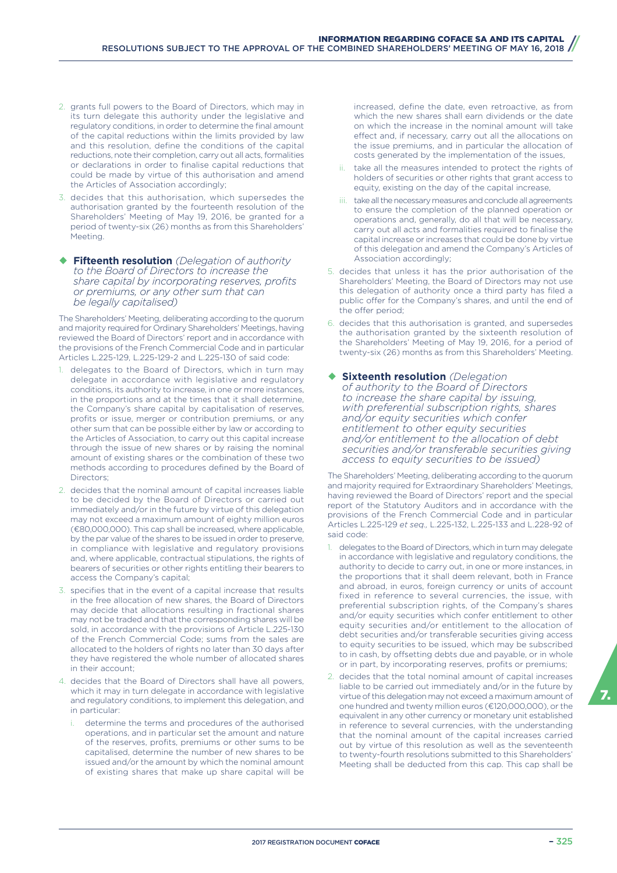- 2. grants full powers to the Board of Directors, which may in its turn delegate this authority under the legislative and regulatory conditions, in order to determine the final amount of the capital reductions within the limits provided by law and this resolution, define the conditions of the capital reductions, note their completion, carry out all acts, formalities or declarations in order to finalise capital reductions that could be made by virtue of this authorisation and amend the Articles of Association accordingly;
- 3. decides that this authorisation, which supersedes the authorisation granted by the fourteenth resolution of the Shareholders' Meeting of May 19, 2016, be granted for a period of twenty-six (26) months as from this Shareholders' Meeting.
- ¡ **Fifteenth resolution** *(Delegation of authority to the Board of Directors to increase the share capital by incorporating reserves, profits or premiums, or any other sum that can be legally capitalised)*

The Shareholders' Meeting, deliberating according to the quorum and majority required for Ordinary Shareholders' Meetings, having reviewed the Board of Directors' report and in accordance with the provisions of the French Commercial Code and in particular Articles L.225-129, L.225-129-2 and L.225-130 of said code:

- delegates to the Board of Directors, which in turn may delegate in accordance with legislative and regulatory conditions, its authority to increase, in one or more instances, in the proportions and at the times that it shall determine, the Company's share capital by capitalisation of reserves, profits or issue, merger or contribution premiums, or any other sum that can be possible either by law or according to the Articles of Association, to carry out this capital increase through the issue of new shares or by raising the nominal amount of existing shares or the combination of these two methods according to procedures defined by the Board of Directors;
- 2. decides that the nominal amount of capital increases liable to be decided by the Board of Directors or carried out immediately and/or in the future by virtue of this delegation may not exceed a maximum amount of eighty million euros (€80,000,000). This cap shall be increased, where applicable, by the par value of the shares to be issued in order to preserve, in compliance with legislative and regulatory provisions and, where applicable, contractual stipulations, the rights of bearers of securities or other rights entitling their bearers to access the Company's capital;
- 3. specifies that in the event of a capital increase that results in the free allocation of new shares, the Board of Directors may decide that allocations resulting in fractional shares may not be traded and that the corresponding shares will be sold, in accordance with the provisions of Article L.225-130 of the French Commercial Code; sums from the sales are allocated to the holders of rights no later than 30 days after they have registered the whole number of allocated shares in their account;
- 4. decides that the Board of Directors shall have all powers, which it may in turn delegate in accordance with legislative and regulatory conditions, to implement this delegation, and in particular:
	- determine the terms and procedures of the authorised operations, and in particular set the amount and nature of the reserves, profits, premiums or other sums to be capitalised, determine the number of new shares to be issued and/or the amount by which the nominal amount of existing shares that make up share capital will be

increased, define the date, even retroactive, as from which the new shares shall earn dividends or the date on which the increase in the nominal amount will take effect and, if necessary, carry out all the allocations on the issue premiums, and in particular the allocation of costs generated by the implementation of the issues,

- take all the measures intended to protect the rights of holders of securities or other rights that grant access to equity, existing on the day of the capital increase,
- iii. take all the necessary measures and conclude all agreements to ensure the completion of the planned operation or operations and, generally, do all that will be necessary, carry out all acts and formalities required to finalise the capital increase or increases that could be done by virtue of this delegation and amend the Company's Articles of Association accordingly;
- 5. decides that unless it has the prior authorisation of the Shareholders' Meeting, the Board of Directors may not use this delegation of authority once a third party has filed a public offer for the Company's shares, and until the end of the offer period;
- 6. decides that this authorisation is granted, and supersedes the authorisation granted by the sixteenth resolution of the Shareholders' Meeting of May 19, 2016, for a period of twenty-six (26) months as from this Shareholders' Meeting.
- ¡ **Sixteenth resolution** *(Delegation of authority to the Board of Directors to increase the share capital by issuing, with preferential subscription rights, shares and/or equity securities which confer entitlement to other equity securities and/or entitlement to the allocation of debt securities and/or transferable securities giving access to equity securities to be issued)*

The Shareholders' Meeting, deliberating according to the quorum and majority required for Extraordinary Shareholders' Meetings, having reviewed the Board of Directors' report and the special report of the Statutory Auditors and in accordance with the provisions of the French Commercial Code and in particular Articles L.225-129 *et seq.,* L.225-132, L.225-133 and L.228-92 of said code:

- 1. delegates to the Board of Directors, which in turn may delegate in accordance with legislative and regulatory conditions, the authority to decide to carry out, in one or more instances, in the proportions that it shall deem relevant, both in France and abroad, in euros, foreign currency or units of account fixed in reference to several currencies, the issue, with preferential subscription rights, of the Company's shares and/or equity securities which confer entitlement to other equity securities and/or entitlement to the allocation of debt securities and/or transferable securities giving access to equity securities to be issued, which may be subscribed to in cash, by offsetting debts due and payable, or in whole or in part, by incorporating reserves, profits or premiums;
- 2. decides that the total nominal amount of capital increases liable to be carried out immediately and/or in the future by virtue of this delegation may not exceed a maximum amount of one hundred and twenty million euros (€120,000,000), or the equivalent in any other currency or monetary unit established in reference to several currencies, with the understanding that the nominal amount of the capital increases carried out by virtue of this resolution as well as the seventeenth to twenty-fourth resolutions submitted to this Shareholders' Meeting shall be deducted from this cap. This cap shall be

7.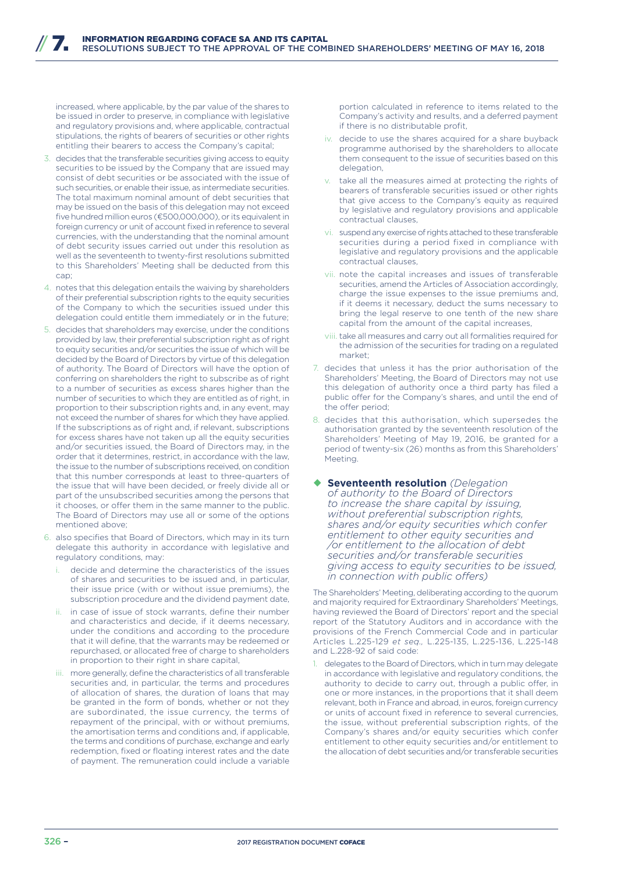increased, where applicable, by the par value of the shares to be issued in order to preserve, in compliance with legislative and regulatory provisions and, where applicable, contractual stipulations, the rights of bearers of securities or other rights entitling their bearers to access the Company's capital;

- 3. decides that the transferable securities giving access to equity securities to be issued by the Company that are issued may consist of debt securities or be associated with the issue of such securities, or enable their issue, as intermediate securities. The total maximum nominal amount of debt securities that may be issued on the basis of this delegation may not exceed five hundred million euros (€500,000,000), or its equivalent in foreign currency or unit of account fixed in reference to several currencies, with the understanding that the nominal amount of debt security issues carried out under this resolution as well as the seventeenth to twenty-first resolutions submitted to this Shareholders' Meeting shall be deducted from this cap;
- 4. notes that this delegation entails the waiving by shareholders of their preferential subscription rights to the equity securities of the Company to which the securities issued under this delegation could entitle them immediately or in the future;
- 5. decides that shareholders may exercise, under the conditions provided by law, their preferential subscription right as of right to equity securities and/or securities the issue of which will be decided by the Board of Directors by virtue of this delegation of authority. The Board of Directors will have the option of conferring on shareholders the right to subscribe as of right to a number of securities as excess shares higher than the number of securities to which they are entitled as of right, in proportion to their subscription rights and, in any event, may not exceed the number of shares for which they have applied. If the subscriptions as of right and, if relevant, subscriptions for excess shares have not taken up all the equity securities and/or securities issued, the Board of Directors may, in the order that it determines, restrict, in accordance with the law, the issue to the number of subscriptions received, on condition that this number corresponds at least to three-quarters of the issue that will have been decided, or freely divide all or part of the unsubscribed securities among the persons that it chooses, or offer them in the same manner to the public. The Board of Directors may use all or some of the options mentioned above;
- 6. also specifies that Board of Directors, which may in its turn delegate this authority in accordance with legislative and regulatory conditions, may:
	- decide and determine the characteristics of the issues of shares and securities to be issued and, in particular, their issue price (with or without issue premiums), the subscription procedure and the dividend payment date,
	- in case of issue of stock warrants, define their number and characteristics and decide, if it deems necessary, under the conditions and according to the procedure that it will define, that the warrants may be redeemed or repurchased, or allocated free of charge to shareholders in proportion to their right in share capital,
	- iii. more generally, define the characteristics of all transferable securities and, in particular, the terms and procedures of allocation of shares, the duration of loans that may be granted in the form of bonds, whether or not they are subordinated, the issue currency, the terms of repayment of the principal, with or without premiums, the amortisation terms and conditions and, if applicable, the terms and conditions of purchase, exchange and early redemption, fixed or floating interest rates and the date of payment. The remuneration could include a variable

portion calculated in reference to items related to the Company's activity and results, and a deferred payment if there is no distributable profit,

- iv. decide to use the shares acquired for a share buyback programme authorised by the shareholders to allocate them consequent to the issue of securities based on this delegation,
- take all the measures aimed at protecting the rights of bearers of transferable securities issued or other rights that give access to the Company's equity as required by legislative and regulatory provisions and applicable contractual clauses,
- vi. suspend any exercise of rights attached to these transferable securities during a period fixed in compliance with legislative and regulatory provisions and the applicable contractual clauses,
- vii. note the capital increases and issues of transferable securities, amend the Articles of Association accordingly, charge the issue expenses to the issue premiums and, if it deems it necessary, deduct the sums necessary to bring the legal reserve to one tenth of the new share capital from the amount of the capital increases,
- viii. take all measures and carry out all formalities required for the admission of the securities for trading on a regulated market;
- 7. decides that unless it has the prior authorisation of the Shareholders' Meeting, the Board of Directors may not use this delegation of authority once a third party has filed a public offer for the Company's shares, and until the end of the offer period;
- 8. decides that this authorisation, which supersedes the authorisation granted by the seventeenth resolution of the Shareholders' Meeting of May 19, 2016, be granted for a period of twenty-six (26) months as from this Shareholders' Meeting.

#### ¡ **Seventeenth resolution** *(Delegation of authority to the Board of Directors to increase the share capital by issuing, without preferential subscription rights, shares and/or equity securities which confer entitlement to other equity securities and /or entitlement to the allocation of debt securities and/or transferable securities giving access to equity securities to be issued, in connection with public offers)*

The Shareholders' Meeting, deliberating according to the quorum and majority required for Extraordinary Shareholders' Meetings, having reviewed the Board of Directors' report and the special report of the Statutory Auditors and in accordance with the provisions of the French Commercial Code and in particular Articles L.225-129 *et seq.,* L.225-135, L.225-136, L.225-148 and L.228-92 of said code:

delegates to the Board of Directors, which in turn may delegate in accordance with legislative and regulatory conditions, the authority to decide to carry out, through a public offer, in one or more instances, in the proportions that it shall deem relevant, both in France and abroad, in euros, foreign currency or units of account fixed in reference to several currencies, the issue, without preferential subscription rights, of the Company's shares and/or equity securities which confer entitlement to other equity securities and/or entitlement to the allocation of debt securities and/or transferable securities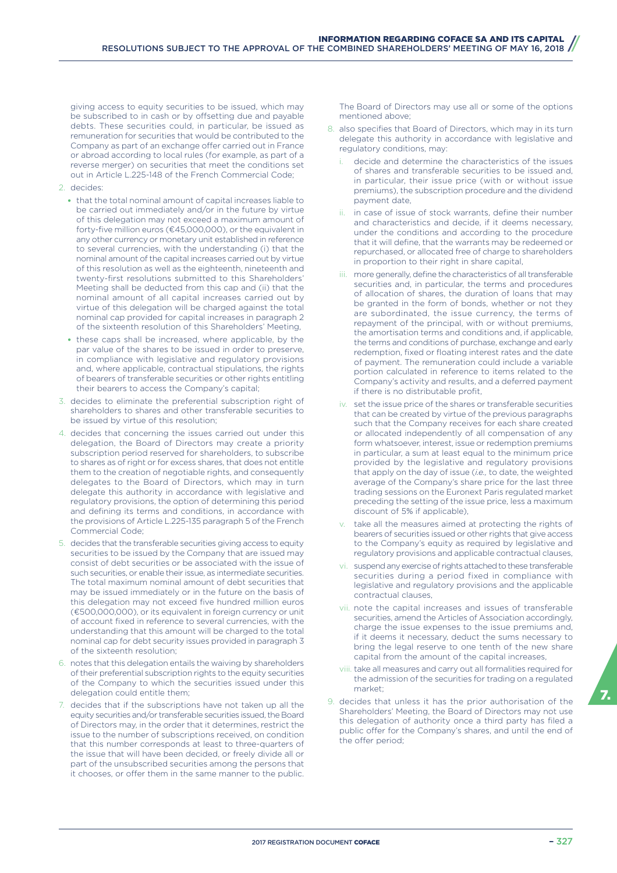giving access to equity securities to be issued, which may be subscribed to in cash or by offsetting due and payable debts. These securities could, in particular, be issued as remuneration for securities that would be contributed to the Company as part of an exchange offer carried out in France or abroad according to local rules (for example, as part of a reverse merger) on securities that meet the conditions set out in Article L.225-148 of the French Commercial Code;

- 2. decides:
	- that the total nominal amount of capital increases liable to be carried out immediately and/or in the future by virtue of this delegation may not exceed a maximum amount of forty-five million euros (€45,000,000), or the equivalent in any other currency or monetary unit established in reference to several currencies, with the understanding (i) that the nominal amount of the capital increases carried out by virtue of this resolution as well as the eighteenth, nineteenth and twenty-first resolutions submitted to this Shareholders' Meeting shall be deducted from this cap and (ii) that the nominal amount of all capital increases carried out by virtue of this delegation will be charged against the total nominal cap provided for capital increases in paragraph 2 of the sixteenth resolution of this Shareholders' Meeting,
	- these caps shall be increased, where applicable, by the par value of the shares to be issued in order to preserve, in compliance with legislative and regulatory provisions and, where applicable, contractual stipulations, the rights of bearers of transferable securities or other rights entitling their bearers to access the Company's capital;
- 3. decides to eliminate the preferential subscription right of shareholders to shares and other transferable securities to be issued by virtue of this resolution;
- 4. decides that concerning the issues carried out under this delegation, the Board of Directors may create a priority subscription period reserved for shareholders, to subscribe to shares as of right or for excess shares, that does not entitle them to the creation of negotiable rights, and consequently delegates to the Board of Directors, which may in turn delegate this authority in accordance with legislative and regulatory provisions, the option of determining this period and defining its terms and conditions, in accordance with the provisions of Article L.225-135 paragraph 5 of the French Commercial Code;
- 5. decides that the transferable securities giving access to equity securities to be issued by the Company that are issued may consist of debt securities or be associated with the issue of such securities, or enable their issue, as intermediate securities. The total maximum nominal amount of debt securities that may be issued immediately or in the future on the basis of this delegation may not exceed five hundred million euros (€500,000,000), or its equivalent in foreign currency or unit of account fixed in reference to several currencies, with the understanding that this amount will be charged to the total nominal cap for debt security issues provided in paragraph 3 of the sixteenth resolution;
- 6. notes that this delegation entails the waiving by shareholders of their preferential subscription rights to the equity securities of the Company to which the securities issued under this delegation could entitle them;
- 7. decides that if the subscriptions have not taken up all the equity securities and/or transferable securities issued, the Board of Directors may, in the order that it determines, restrict the issue to the number of subscriptions received, on condition that this number corresponds at least to three-quarters of the issue that will have been decided, or freely divide all or part of the unsubscribed securities among the persons that it chooses, or offer them in the same manner to the public.

The Board of Directors may use all or some of the options mentioned above;

- 8. also specifies that Board of Directors, which may in its turn delegate this authority in accordance with legislative and regulatory conditions, may:
	- decide and determine the characteristics of the issues of shares and transferable securities to be issued and, in particular, their issue price (with or without issue premiums), the subscription procedure and the dividend payment date,
	- in case of issue of stock warrants, define their number and characteristics and decide, if it deems necessary, under the conditions and according to the procedure that it will define, that the warrants may be redeemed or repurchased, or allocated free of charge to shareholders in proportion to their right in share capital,
	- iii. more generally, define the characteristics of all transferable securities and, in particular, the terms and procedures of allocation of shares, the duration of loans that may be granted in the form of bonds, whether or not they are subordinated, the issue currency, the terms of repayment of the principal, with or without premiums, the amortisation terms and conditions and, if applicable, the terms and conditions of purchase, exchange and early redemption, fixed or floating interest rates and the date of payment. The remuneration could include a variable portion calculated in reference to items related to the Company's activity and results, and a deferred payment if there is no distributable profit,
	- set the issue price of the shares or transferable securities that can be created by virtue of the previous paragraphs such that the Company receives for each share created or allocated independently of all compensation of any form whatsoever, interest, issue or redemption premiums in particular, a sum at least equal to the minimum price provided by the legislative and regulatory provisions that apply on the day of issue (*i.e.,* to date, the weighted average of the Company's share price for the last three trading sessions on the Euronext Paris regulated market preceding the setting of the issue price, less a maximum discount of 5% if applicable),
	- v. take all the measures aimed at protecting the rights of bearers of securities issued or other rights that give access to the Company's equity as required by legislative and regulatory provisions and applicable contractual clauses,
	- vi. suspend any exercise of rights attached to these transferable securities during a period fixed in compliance with legislative and regulatory provisions and the applicable contractual clauses,
	- vii. note the capital increases and issues of transferable securities, amend the Articles of Association accordingly, charge the issue expenses to the issue premiums and, if it deems it necessary, deduct the sums necessary to bring the legal reserve to one tenth of the new share capital from the amount of the capital increases,
	- viii. take all measures and carry out all formalities required for the admission of the securities for trading on a regulated market;
- 9. decides that unless it has the prior authorisation of the Shareholders' Meeting, the Board of Directors may not use this delegation of authority once a third party has filed a public offer for the Company's shares, and until the end of the offer period;

7.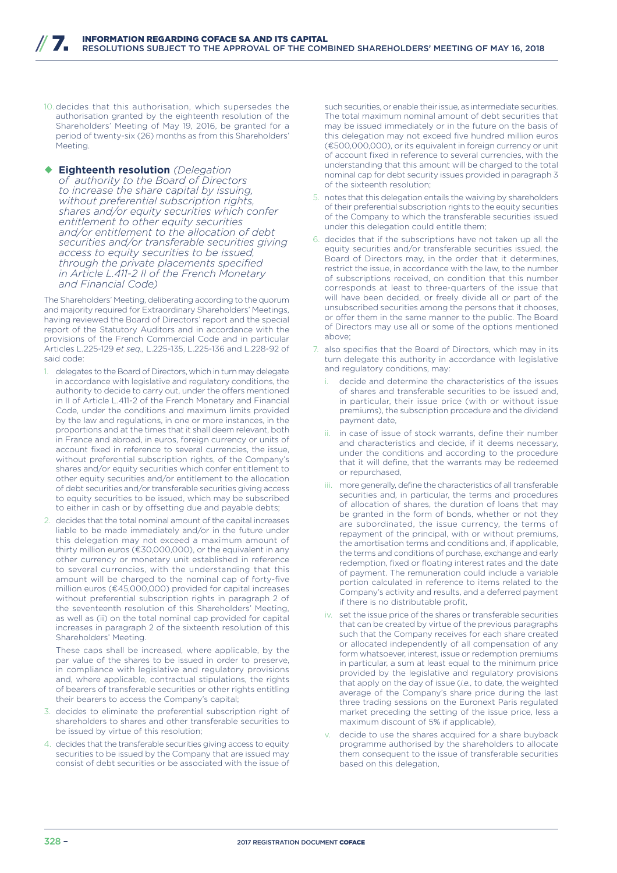- 10. decides that this authorisation, which supersedes the authorisation granted by the eighteenth resolution of the Shareholders' Meeting of May 19, 2016, be granted for a period of twenty-six (26) months as from this Shareholders' Meeting.
- ¡ **Eighteenth resolution** *(Delegation of authority to the Board of Directors to increase the share capital by issuing, without preferential subscription rights, shares and/or equity securities which confer entitlement to other equity securities and/or entitlement to the allocation of debt securities and/or transferable securities giving access to equity securities to be issued, through the private placements specified in Article L.411-2 II of the French Monetary and Financial Code)*

The Shareholders' Meeting, deliberating according to the quorum and majority required for Extraordinary Shareholders' Meetings, having reviewed the Board of Directors' report and the special report of the Statutory Auditors and in accordance with the provisions of the French Commercial Code and in particular Articles L.225-129 *et seq.,* L.225-135, L.225-136 and L.228-92 of said code:

- delegates to the Board of Directors, which in turn may delegate in accordance with legislative and regulatory conditions, the authority to decide to carry out, under the offers mentioned in II of Article L.411-2 of the French Monetary and Financial Code, under the conditions and maximum limits provided by the law and regulations, in one or more instances, in the proportions and at the times that it shall deem relevant, both in France and abroad, in euros, foreign currency or units of account fixed in reference to several currencies, the issue, without preferential subscription rights, of the Company's shares and/or equity securities which confer entitlement to other equity securities and/or entitlement to the allocation of debt securities and/or transferable securities giving access to equity securities to be issued, which may be subscribed to either in cash or by offsetting due and payable debts;
- 2. decides that the total nominal amount of the capital increases liable to be made immediately and/or in the future under this delegation may not exceed a maximum amount of thirty million euros (€30,000,000), or the equivalent in any other currency or monetary unit established in reference to several currencies, with the understanding that this amount will be charged to the nominal cap of forty-five million euros (€45,000,000) provided for capital increases without preferential subscription rights in paragraph 2 of the seventeenth resolution of this Shareholders' Meeting, as well as (ii) on the total nominal cap provided for capital increases in paragraph 2 of the sixteenth resolution of this Shareholders' Meeting.

These caps shall be increased, where applicable, by the par value of the shares to be issued in order to preserve, in compliance with legislative and regulatory provisions and, where applicable, contractual stipulations, the rights of bearers of transferable securities or other rights entitling their bearers to access the Company's capital;

- 3. decides to eliminate the preferential subscription right of shareholders to shares and other transferable securities to be issued by virtue of this resolution;
- 4. decides that the transferable securities giving access to equity securities to be issued by the Company that are issued may consist of debt securities or be associated with the issue of

such securities, or enable their issue, as intermediate securities. The total maximum nominal amount of debt securities that may be issued immediately or in the future on the basis of this delegation may not exceed five hundred million euros (€500,000,000), or its equivalent in foreign currency or unit of account fixed in reference to several currencies, with the understanding that this amount will be charged to the total nominal cap for debt security issues provided in paragraph 3 of the sixteenth resolution;

- 5. notes that this delegation entails the waiving by shareholders of their preferential subscription rights to the equity securities of the Company to which the transferable securities issued under this delegation could entitle them;
- 6. decides that if the subscriptions have not taken up all the equity securities and/or transferable securities issued, the Board of Directors may, in the order that it determines, restrict the issue, in accordance with the law, to the number of subscriptions received, on condition that this number corresponds at least to three-quarters of the issue that will have been decided, or freely divide all or part of the unsubscribed securities among the persons that it chooses, or offer them in the same manner to the public. The Board of Directors may use all or some of the options mentioned above;
- 7. also specifies that the Board of Directors, which may in its turn delegate this authority in accordance with legislative and regulatory conditions, may:
	- decide and determine the characteristics of the issues of shares and transferable securities to be issued and, in particular, their issue price (with or without issue premiums), the subscription procedure and the dividend payment date,
	- in case of issue of stock warrants, define their number and characteristics and decide, if it deems necessary, under the conditions and according to the procedure that it will define, that the warrants may be redeemed or repurchased,
	- iii. more generally, define the characteristics of all transferable securities and, in particular, the terms and procedures of allocation of shares, the duration of loans that may be granted in the form of bonds, whether or not they are subordinated, the issue currency, the terms of repayment of the principal, with or without premiums, the amortisation terms and conditions and, if applicable, the terms and conditions of purchase, exchange and early redemption, fixed or floating interest rates and the date of payment. The remuneration could include a variable portion calculated in reference to items related to the Company's activity and results, and a deferred payment if there is no distributable profit,
	- iv. set the issue price of the shares or transferable securities that can be created by virtue of the previous paragraphs such that the Company receives for each share created or allocated independently of all compensation of any form whatsoever, interest, issue or redemption premiums in particular, a sum at least equal to the minimum price provided by the legislative and regulatory provisions that apply on the day of issue (*i.e.,* to date, the weighted average of the Company's share price during the last three trading sessions on the Euronext Paris regulated market preceding the setting of the issue price, less a maximum discount of 5% if applicable),
	- decide to use the shares acquired for a share buyback programme authorised by the shareholders to allocate them consequent to the issue of transferable securities based on this delegation,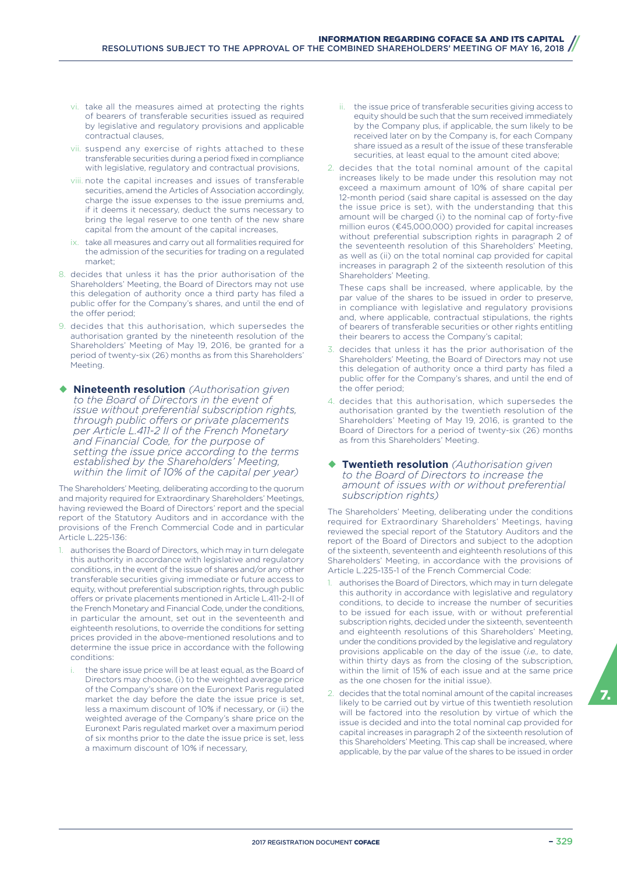- vi. take all the measures aimed at protecting the rights of bearers of transferable securities issued as required by legislative and regulatory provisions and applicable contractual clauses,
- vii. suspend any exercise of rights attached to these transferable securities during a period fixed in compliance with legislative, regulatory and contractual provisions,
- viii. note the capital increases and issues of transferable securities, amend the Articles of Association accordingly, charge the issue expenses to the issue premiums and, if it deems it necessary, deduct the sums necessary to bring the legal reserve to one tenth of the new share capital from the amount of the capital increases,
- ix. take all measures and carry out all formalities required for the admission of the securities for trading on a regulated market;
- 8. decides that unless it has the prior authorisation of the Shareholders' Meeting, the Board of Directors may not use this delegation of authority once a third party has filed a public offer for the Company's shares, and until the end of the offer period;
- 9. decides that this authorisation, which supersedes the authorisation granted by the nineteenth resolution of the Shareholders' Meeting of May 19, 2016, be granted for a period of twenty-six (26) months as from this Shareholders' Meeting.
- ¡ **Nineteenth resolution** *(Authorisation given to the Board of Directors in the event of issue without preferential subscription rights, through public o\ers or private placements per Article L.411-2 II of the French Monetary and Financial Code, for the purpose of setting the issue price according to the terms established by the Shareholders' Meeting, within the limit of 10% of the capital per year)*

The Shareholders' Meeting, deliberating according to the quorum and majority required for Extraordinary Shareholders' Meetings, having reviewed the Board of Directors' report and the special report of the Statutory Auditors and in accordance with the provisions of the French Commercial Code and in particular Article L.225-136:

- 1. authorises the Board of Directors, which may in turn delegate this authority in accordance with legislative and regulatory conditions, in the event of the issue of shares and/or any other transferable securities giving immediate or future access to equity, without preferential subscription rights, through public offers or private placements mentioned in Article L.411-2-II of the French Monetary and Financial Code, under the conditions, in particular the amount, set out in the seventeenth and eighteenth resolutions, to override the conditions for setting prices provided in the above-mentioned resolutions and to determine the issue price in accordance with the following conditions:
	- the share issue price will be at least equal, as the Board of Directors may choose, (i) to the weighted average price of the Company's share on the Euronext Paris regulated market the day before the date the issue price is set, less a maximum discount of 10% if necessary, or (ii) the weighted average of the Company's share price on the Euronext Paris regulated market over a maximum period of six months prior to the date the issue price is set, less a maximum discount of 10% if necessary,
- ii. the issue price of transferable securities giving access to equity should be such that the sum received immediately by the Company plus, if applicable, the sum likely to be received later on by the Company is, for each Company share issued as a result of the issue of these transferable securities, at least equal to the amount cited above;
- 2. decides that the total nominal amount of the capital increases likely to be made under this resolution may not exceed a maximum amount of 10% of share capital per 12-month period (said share capital is assessed on the day the issue price is set), with the understanding that this amount will be charged (i) to the nominal cap of forty-five million euros (€45,000,000) provided for capital increases without preferential subscription rights in paragraph 2 of the seventeenth resolution of this Shareholders' Meeting, as well as (ii) on the total nominal cap provided for capital increases in paragraph 2 of the sixteenth resolution of this Shareholders' Meeting.

These caps shall be increased, where applicable, by the par value of the shares to be issued in order to preserve, in compliance with legislative and regulatory provisions and, where applicable, contractual stipulations, the rights of bearers of transferable securities or other rights entitling their bearers to access the Company's capital;

- 3. decides that unless it has the prior authorisation of the Shareholders' Meeting, the Board of Directors may not use this delegation of authority once a third party has filed a public offer for the Company's shares, and until the end of the offer period;
- 4. decides that this authorisation, which supersedes the authorisation granted by the twentieth resolution of the Shareholders' Meeting of May 19, 2016, is granted to the Board of Directors for a period of twenty-six (26) months as from this Shareholders' Meeting.

#### **Twentieth resolution** *(Authorisation given to the Board of Directors to increase the amount of issues with or without preferential subscription rights)*

The Shareholders' Meeting, deliberating under the conditions required for Extraordinary Shareholders' Meetings, having reviewed the special report of the Statutory Auditors and the report of the Board of Directors and subject to the adoption of the sixteenth, seventeenth and eighteenth resolutions of this Shareholders' Meeting, in accordance with the provisions of Article L.225-135-1 of the French Commercial Code:

- 1. authorises the Board of Directors, which may in turn delegate this authority in accordance with legislative and regulatory conditions, to decide to increase the number of securities to be issued for each issue, with or without preferential subscription rights, decided under the sixteenth, seventeenth and eighteenth resolutions of this Shareholders' Meeting, under the conditions provided by the legislative and regulatory provisions applicable on the day of the issue (*i.e.,* to date, within thirty days as from the closing of the subscription, within the limit of 15% of each issue and at the same price as the one chosen for the initial issue).
- 2. decides that the total nominal amount of the capital increases likely to be carried out by virtue of this twentieth resolution will be factored into the resolution by virtue of which the issue is decided and into the total nominal cap provided for capital increases in paragraph 2 of the sixteenth resolution of this Shareholders' Meeting. This cap shall be increased, where applicable, by the par value of the shares to be issued in order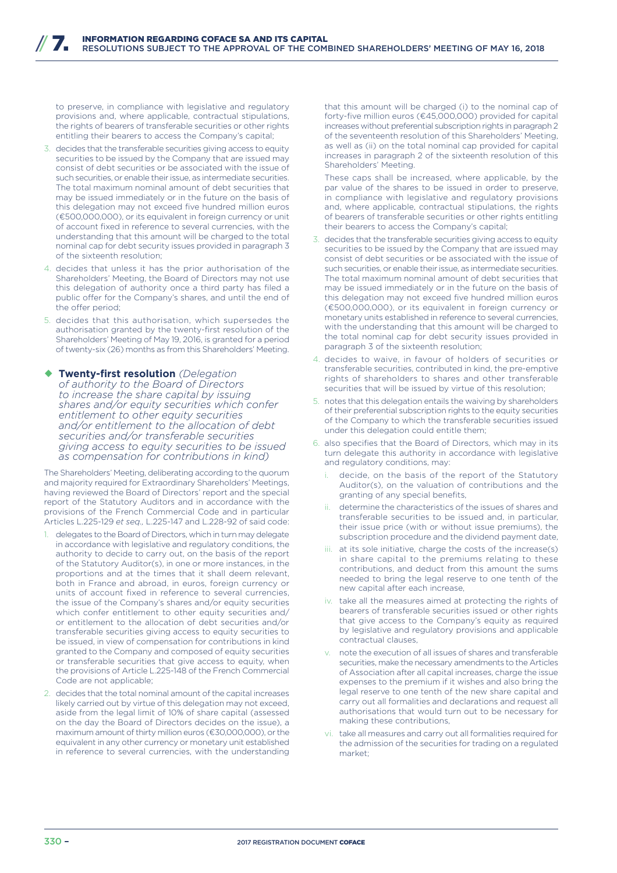to preserve, in compliance with legislative and regulatory provisions and, where applicable, contractual stipulations, the rights of bearers of transferable securities or other rights entitling their bearers to access the Company's capital;

- 3. decides that the transferable securities giving access to equity securities to be issued by the Company that are issued may consist of debt securities or be associated with the issue of such securities, or enable their issue, as intermediate securities. The total maximum nominal amount of debt securities that may be issued immediately or in the future on the basis of this delegation may not exceed five hundred million euros (€500,000,000), or its equivalent in foreign currency or unit of account fixed in reference to several currencies, with the understanding that this amount will be charged to the total nominal cap for debt security issues provided in paragraph 3 of the sixteenth resolution;
- 4. decides that unless it has the prior authorisation of the Shareholders' Meeting, the Board of Directors may not use this delegation of authority once a third party has filed a public offer for the Company's shares, and until the end of the offer period:
- 5. decides that this authorisation, which supersedes the authorisation granted by the twenty-first resolution of the Shareholders' Meeting of May 19, 2016, is granted for a period of twenty-six (26) months as from this Shareholders' Meeting.
- ¡ **Twenty-first resolution** *(Delegation of authority to the Board of Directors to increase the share capital by issuing shares and/or equity securities which confer entitlement to other equity securities and/or entitlement to the allocation of debt securities and/or transferable securities giving access to equity securities to be issued as compensation for contributions in kind)*

The Shareholders' Meeting, deliberating according to the quorum and majority required for Extraordinary Shareholders' Meetings, having reviewed the Board of Directors' report and the special report of the Statutory Auditors and in accordance with the provisions of the French Commercial Code and in particular Articles L.225-129 *et seq.,* L.225-147 and L.228-92 of said code:

- delegates to the Board of Directors, which in turn may delegate in accordance with legislative and regulatory conditions, the authority to decide to carry out, on the basis of the report of the Statutory Auditor(s), in one or more instances, in the proportions and at the times that it shall deem relevant, both in France and abroad, in euros, foreign currency or units of account fixed in reference to several currencies, the issue of the Company's shares and/or equity securities which confer entitlement to other equity securities and/ or entitlement to the allocation of debt securities and/or transferable securities giving access to equity securities to be issued, in view of compensation for contributions in kind granted to the Company and composed of equity securities or transferable securities that give access to equity, when the provisions of Article L.225-148 of the French Commercial Code are not applicable;
- 2. decides that the total nominal amount of the capital increases likely carried out by virtue of this delegation may not exceed, aside from the legal limit of 10% of share capital (assessed on the day the Board of Directors decides on the issue), a maximum amount of thirty million euros (€30,000,000), or the equivalent in any other currency or monetary unit established in reference to several currencies, with the understanding

that this amount will be charged (i) to the nominal cap of forty-five million euros (€45,000,000) provided for capital increases without preferential subscription rights in paragraph 2 of the seventeenth resolution of this Shareholders' Meeting, as well as (ii) on the total nominal cap provided for capital increases in paragraph 2 of the sixteenth resolution of this Shareholders' Meeting.

These caps shall be increased, where applicable, by the par value of the shares to be issued in order to preserve, in compliance with legislative and regulatory provisions and, where applicable, contractual stipulations, the rights of bearers of transferable securities or other rights entitling their bearers to access the Company's capital;

- 3. decides that the transferable securities giving access to equity securities to be issued by the Company that are issued may consist of debt securities or be associated with the issue of such securities, or enable their issue, as intermediate securities. The total maximum nominal amount of debt securities that may be issued immediately or in the future on the basis of this delegation may not exceed five hundred million euros (€500,000,000), or its equivalent in foreign currency or monetary units established in reference to several currencies, with the understanding that this amount will be charged to the total nominal cap for debt security issues provided in paragraph 3 of the sixteenth resolution;
- 4. decides to waive, in favour of holders of securities or transferable securities, contributed in kind, the pre-emptive rights of shareholders to shares and other transferable securities that will be issued by virtue of this resolution;
- 5. notes that this delegation entails the waiving by shareholders of their preferential subscription rights to the equity securities of the Company to which the transferable securities issued under this delegation could entitle them;
- 6. also specifies that the Board of Directors, which may in its turn delegate this authority in accordance with legislative and regulatory conditions, may:
	- decide, on the basis of the report of the Statutory Auditor(s), on the valuation of contributions and the granting of any special benefits,
	- ii. determine the characteristics of the issues of shares and transferable securities to be issued and, in particular, their issue price (with or without issue premiums), the subscription procedure and the dividend payment date,
	- iii. at its sole initiative, charge the costs of the increase(s) in share capital to the premiums relating to these contributions, and deduct from this amount the sums needed to bring the legal reserve to one tenth of the new capital after each increase,
	- iv. take all the measures aimed at protecting the rights of bearers of transferable securities issued or other rights that give access to the Company's equity as required by legislative and regulatory provisions and applicable contractual clauses,
	- v. note the execution of all issues of shares and transferable securities, make the necessary amendments to the Articles of Association after all capital increases, charge the issue expenses to the premium if it wishes and also bring the legal reserve to one tenth of the new share capital and carry out all formalities and declarations and request all authorisations that would turn out to be necessary for making these contributions,
	- vi. take all measures and carry out all formalities required for the admission of the securities for trading on a regulated market;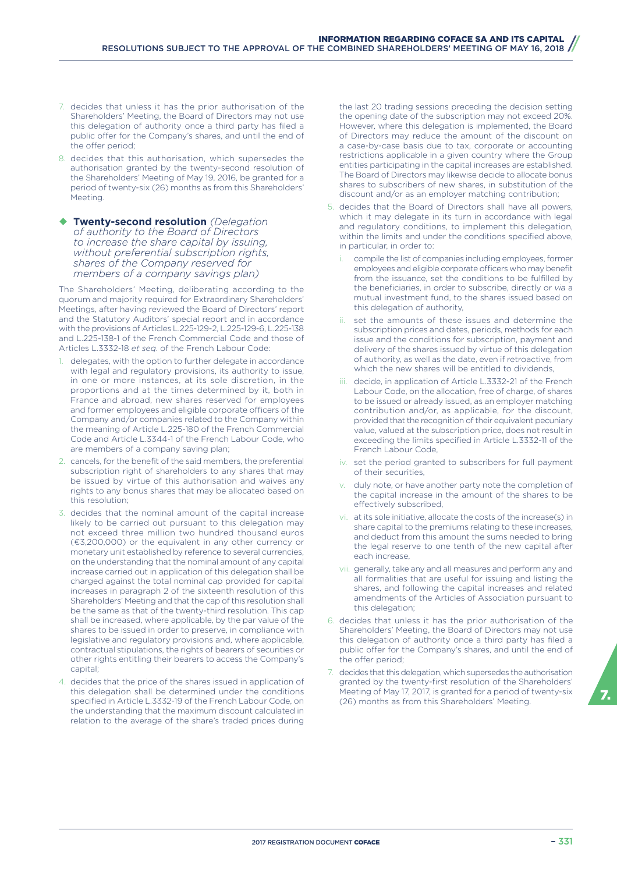- 7. decides that unless it has the prior authorisation of the Shareholders' Meeting, the Board of Directors may not use this delegation of authority once a third party has filed a public offer for the Company's shares, and until the end of the offer period:
- 8. decides that this authorisation, which supersedes the authorisation granted by the twenty-second resolution of the Shareholders' Meeting of May 19, 2016, be granted for a period of twenty-six (26) months as from this Shareholders' Meeting.
- ¡ **Twenty-second resolution** *(Delegation of authority to the Board of Directors to increase the share capital by issuing, without preferential subscription rights, shares of the Company reserved for members of a company savings plan)*

The Shareholders' Meeting, deliberating according to the quorum and majority required for Extraordinary Shareholders' Meetings, after having reviewed the Board of Directors' report and the Statutory Auditors' special report and in accordance with the provisions of Articles L.225-129-2, L.225-129-6, L.225-138 and L.225-138-1 of the French Commercial Code and those of Articles L.3332-18 *et seq*. of the French Labour Code:

- delegates, with the option to further delegate in accordance with legal and regulatory provisions, its authority to issue, in one or more instances, at its sole discretion, in the proportions and at the times determined by it, both in France and abroad, new shares reserved for employees and former employees and eligible corporate officers of the Company and/or companies related to the Company within the meaning of Article L.225-180 of the French Commercial Code and Article L.3344-1 of the French Labour Code, who are members of a company saving plan;
- 2. cancels, for the benefit of the said members, the preferential subscription right of shareholders to any shares that may be issued by virtue of this authorisation and waives any rights to any bonus shares that may be allocated based on this resolution;
- 3. decides that the nominal amount of the capital increase likely to be carried out pursuant to this delegation may not exceed three million two hundred thousand euros (€3,200,000) or the equivalent in any other currency or monetary unit established by reference to several currencies, on the understanding that the nominal amount of any capital increase carried out in application of this delegation shall be charged against the total nominal cap provided for capital increases in paragraph 2 of the sixteenth resolution of this Shareholders' Meeting and that the cap of this resolution shall be the same as that of the twenty-third resolution. This cap shall be increased, where applicable, by the par value of the shares to be issued in order to preserve, in compliance with legislative and regulatory provisions and, where applicable, contractual stipulations, the rights of bearers of securities or other rights entitling their bearers to access the Company's capital;
- 4. decides that the price of the shares issued in application of this delegation shall be determined under the conditions specified in Article L.3332-19 of the French Labour Code, on the understanding that the maximum discount calculated in relation to the average of the share's traded prices during

the last 20 trading sessions preceding the decision setting the opening date of the subscription may not exceed 20%. However, where this delegation is implemented, the Board of Directors may reduce the amount of the discount on a case-by-case basis due to tax, corporate or accounting restrictions applicable in a given country where the Group entities participating in the capital increases are established. The Board of Directors may likewise decide to allocate bonus shares to subscribers of new shares, in substitution of the discount and/or as an employer matching contribution;

- 5. decides that the Board of Directors shall have all powers, which it may delegate in its turn in accordance with legal and regulatory conditions, to implement this delegation, within the limits and under the conditions specified above, in particular, in order to:
	- compile the list of companies including employees, former employees and eligible corporate officers who may benefit from the issuance, set the conditions to be fulfilled by the beneficiaries, in order to subscribe, directly or *via* a mutual investment fund, to the shares issued based on this delegation of authority,
	- set the amounts of these issues and determine the subscription prices and dates, periods, methods for each issue and the conditions for subscription, payment and delivery of the shares issued by virtue of this delegation of authority, as well as the date, even if retroactive, from which the new shares will be entitled to dividends
	- decide, in application of Article L.3332-21 of the French Labour Code, on the allocation, free of charge, of shares to be issued or already issued, as an employer matching contribution and/or, as applicable, for the discount, provided that the recognition of their equivalent pecuniary value, valued at the subscription price, does not result in exceeding the limits specified in Article L.3332-11 of the French Labour Code,
	- iv. set the period granted to subscribers for full payment of their securities,
	- duly note, or have another party note the completion of the capital increase in the amount of the shares to be effectively subscribed.
	- vi. at its sole initiative, allocate the costs of the increase(s) in share capital to the premiums relating to these increases, and deduct from this amount the sums needed to bring the legal reserve to one tenth of the new capital after each increase,
	- vii. generally, take any and all measures and perform any and all formalities that are useful for issuing and listing the shares, and following the capital increases and related amendments of the Articles of Association pursuant to this delegation;
- 6. decides that unless it has the prior authorisation of the Shareholders' Meeting, the Board of Directors may not use this delegation of authority once a third party has filed a public offer for the Company's shares, and until the end of the offer period;
- 7. decides that this delegation, which supersedes the authorisation granted by the twenty-first resolution of the Shareholders' Meeting of May 17, 2017, is granted for a period of twenty-six<br>(26) months as from this Shareholders' Meeting.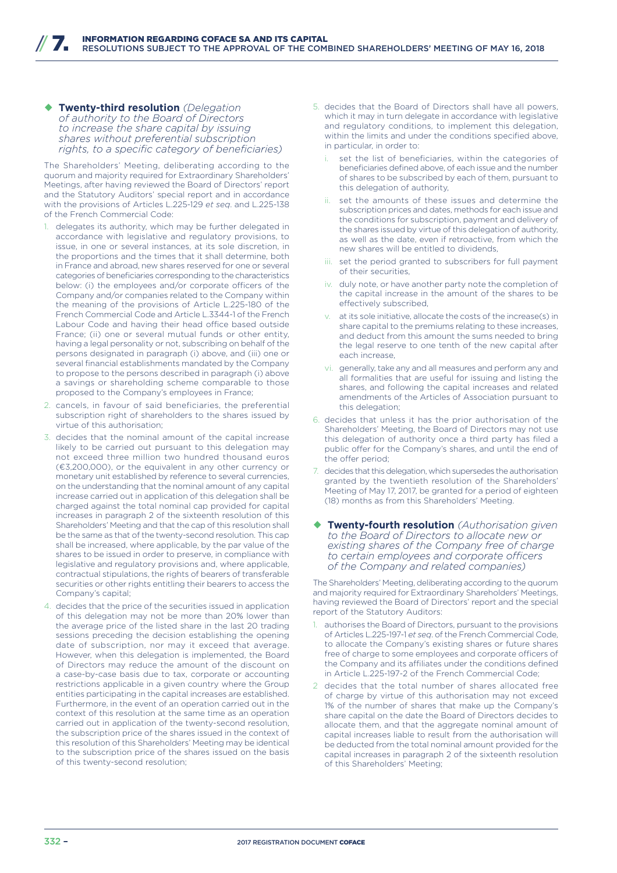¡ **Twenty-third resolution** *(Delegation of authority to the Board of Directors to increase the share capital by issuing shares without preferential subscription rights, to a specific category of beneficiaries)*

The Shareholders' Meeting, deliberating according to the quorum and majority required for Extraordinary Shareholders' Meetings, after having reviewed the Board of Directors' report and the Statutory Auditors' special report and in accordance with the provisions of Articles L.225-129 *et seq*. and L.225-138 of the French Commercial Code:

- delegates its authority, which may be further delegated in accordance with legislative and regulatory provisions, to issue, in one or several instances, at its sole discretion, in the proportions and the times that it shall determine, both in France and abroad, new shares reserved for one or several categories of beneficiaries corresponding to the characteristics below: (i) the employees and/or corporate officers of the Company and/or companies related to the Company within the meaning of the provisions of Article L.225-180 of the French Commercial Code and Article L.3344-1 of the French Labour Code and having their head office based outside France; (ii) one or several mutual funds or other entity, having a legal personality or not, subscribing on behalf of the persons designated in paragraph (i) above, and (iii) one or several financial establishments mandated by the Company to propose to the persons described in paragraph (i) above a savings or shareholding scheme comparable to those proposed to the Company's employees in France;
- 2. cancels, in favour of said beneficiaries, the preferential subscription right of shareholders to the shares issued by virtue of this authorisation;
- 3. decides that the nominal amount of the capital increase likely to be carried out pursuant to this delegation may not exceed three million two hundred thousand euros (€3,200,000), or the equivalent in any other currency or monetary unit established by reference to several currencies, on the understanding that the nominal amount of any capital increase carried out in application of this delegation shall be charged against the total nominal cap provided for capital increases in paragraph 2 of the sixteenth resolution of this Shareholders' Meeting and that the cap of this resolution shall be the same as that of the twenty-second resolution. This cap shall be increased, where applicable, by the par value of the shares to be issued in order to preserve, in compliance with legislative and regulatory provisions and, where applicable, contractual stipulations, the rights of bearers of transferable securities or other rights entitling their bearers to access the Company's capital;
- 4. decides that the price of the securities issued in application of this delegation may not be more than 20% lower than the average price of the listed share in the last 20 trading sessions preceding the decision establishing the opening date of subscription, nor may it exceed that average. However, when this delegation is implemented, the Board of Directors may reduce the amount of the discount on a case-by-case basis due to tax, corporate or accounting restrictions applicable in a given country where the Group entities participating in the capital increases are established. Furthermore, in the event of an operation carried out in the context of this resolution at the same time as an operation carried out in application of the twenty-second resolution, the subscription price of the shares issued in the context of this resolution of this Shareholders' Meeting may be identical to the subscription price of the shares issued on the basis of this twenty-second resolution;
- 5. decides that the Board of Directors shall have all powers, which it may in turn delegate in accordance with legislative and regulatory conditions, to implement this delegation, within the limits and under the conditions specified above, in particular, in order to:
	- set the list of beneficiaries, within the categories of beneficiaries defined above, of each issue and the number of shares to be subscribed by each of them, pursuant to this delegation of authority,
	- ii. set the amounts of these issues and determine the subscription prices and dates, methods for each issue and the conditions for subscription, payment and delivery of the shares issued by virtue of this delegation of authority, as well as the date, even if retroactive, from which the new shares will be entitled to dividends,
	- iii. set the period granted to subscribers for full payment of their securities,
	- iv. duly note, or have another party note the completion of the capital increase in the amount of the shares to be effectively subscribed.
	- at its sole initiative, allocate the costs of the increase(s) in share capital to the premiums relating to these increases, and deduct from this amount the sums needed to bring the legal reserve to one tenth of the new capital after each increase,
	- vi. generally, take any and all measures and perform any and all formalities that are useful for issuing and listing the shares, and following the capital increases and related amendments of the Articles of Association pursuant to this delegation;
- 6. decides that unless it has the prior authorisation of the Shareholders' Meeting, the Board of Directors may not use this delegation of authority once a third party has filed a public offer for the Company's shares, and until the end of the offer period:
- decides that this delegation, which supersedes the authorisation granted by the twentieth resolution of the Shareholders' Meeting of May 17, 2017, be granted for a period of eighteen (18) months as from this Shareholders' Meeting.
- ¡ **Twenty-fourth resolution** *(Authorisation given to the Board of Directors to allocate new or existing shares of the Company free of charge*  to certain employees and corporate officers *of the Company and related companies)*

The Shareholders' Meeting, deliberating according to the quorum and majority required for Extraordinary Shareholders' Meetings, having reviewed the Board of Directors' report and the special report of the Statutory Auditors:

- 1. authorises the Board of Directors, pursuant to the provisions of Articles L.225-197-1 *et seq*. of the French Commercial Code, to allocate the Company's existing shares or future shares free of charge to some employees and corporate officers of the Company and its affiliates under the conditions defined in Article L.225-197-2 of the French Commercial Code;
- 2 decides that the total number of shares allocated free of charge by virtue of this authorisation may not exceed 1% of the number of shares that make up the Company's share capital on the date the Board of Directors decides to allocate them, and that the aggregate nominal amount of capital increases liable to result from the authorisation will be deducted from the total nominal amount provided for the capital increases in paragraph 2 of the sixteenth resolution of this Shareholders' Meeting;